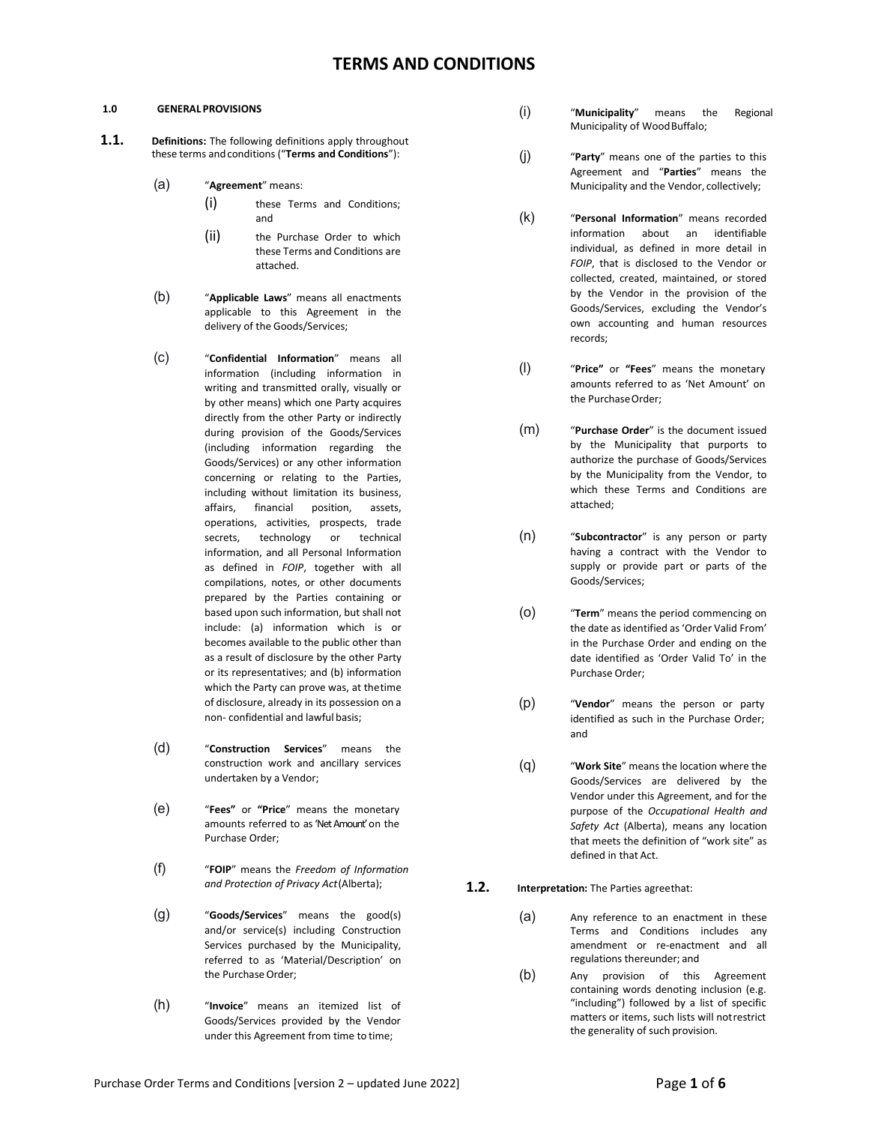## **1.0 GENERAL PROVISIONS**

- **1.1. Definitions:** The following definitions apply throughout these terms andconditions ("**Terms and Conditions**"):
	- (a) "**Agreement**" means:
		- (i) these Terms and Conditions; and
		- (ii) the Purchase Order to which these Terms and Conditions are attached.
	- (b) "**Applicable Laws**" means all enactments applicable to this Agreement in the delivery of the Goods/Services;
	- (c) "**Confidential Information**" means all information (including information in writing and transmitted orally, visually or by other means) which one Party acquires directly from the other Party or indirectly during provision of the Goods/Services (including information regarding the Goods/Services) or any other information concerning or relating to the Parties, including without limitation its business, affairs, financial position, assets, operations, activities, prospects, trade secrets, technology or technical information, and all Personal Information as defined in *FOIP*, together with all compilations, notes, or other documents prepared by the Parties containing or based upon such information, but shall not include: (a) information which is or becomes available to the public other than as a result of disclosure by the other Party or its representatives; and (b) information which the Party can prove was, at thetime of disclosure, already in its possession on a non- confidential and lawful basis;
	- (d) "**Construction Services**" means the construction work and ancillary services undertaken by a Vendor;
	- (e) "**Fees"** or **"Price**" means the monetary amounts referred to as 'Net Amount' on the Purchase Order;
	- (f) "**FOIP**" means the *Freedom of Information and Protection of Privacy Act*(Alberta);
	- (g) "**Goods/Services**" means the good(s) and/or service(s) including Construction Services purchased by the Municipality, referred to as 'Material/Description' on the Purchase Order;
	- (h) "**Invoice**" means an itemized list of Goods/Services provided by the Vendor under this Agreement from time to time;
- (i) "**Municipality**" means the Regional Municipality of Wood Buffalo;
- (j) "**Party**" means one of the parties to this Agreement and "**Parties**" means the Municipality and the Vendor, collectively;
- (k) "**Personal Information**" means recorded information about an identifiable individual, as defined in more detail in *FOIP*, that is disclosed to the Vendor or collected, created, maintained, or stored by the Vendor in the provision of the Goods/Services, excluding the Vendor's own accounting and human resources records;
- (l) "**Price"** or **"Fees**" means the monetary amounts referred to as 'Net Amount' on the PurchaseOrder;
- (m) "**Purchase Order**" is the document issued by the Municipality that purports to authorize the purchase of Goods/Services by the Municipality from the Vendor, to which these Terms and Conditions are attached;
- (n) "**Subcontractor**" is any person or party having a contract with the Vendor to supply or provide part or parts of the Goods/Services;
- (o) "**Term**" means the period commencing on the date as identified as'Order Valid From' in the Purchase Order and ending on the date identified as 'Order Valid To' in the Purchase Order;
- (p) "**Vendor**" means the person or party identified as such in the Purchase Order; and
- (q) "**Work Site**" means the location where the Goods/Services are delivered by the Vendor under this Agreement, and for the purpose of the *Occupational Health and Safety Act* (Alberta), means any location that meets the definition of "work site" as defined in that Act.
- **1.2. Interpretation:** The Parties agreethat:
	- (a) Any reference to an enactment in these Terms and Conditions includes any amendment or re-enactment and all regulations thereunder; and
	- (b) Any provision of this Agreement containing words denoting inclusion (e.g. "including") followed by a list of specific matters or items, such lists will notrestrict the generality of such provision.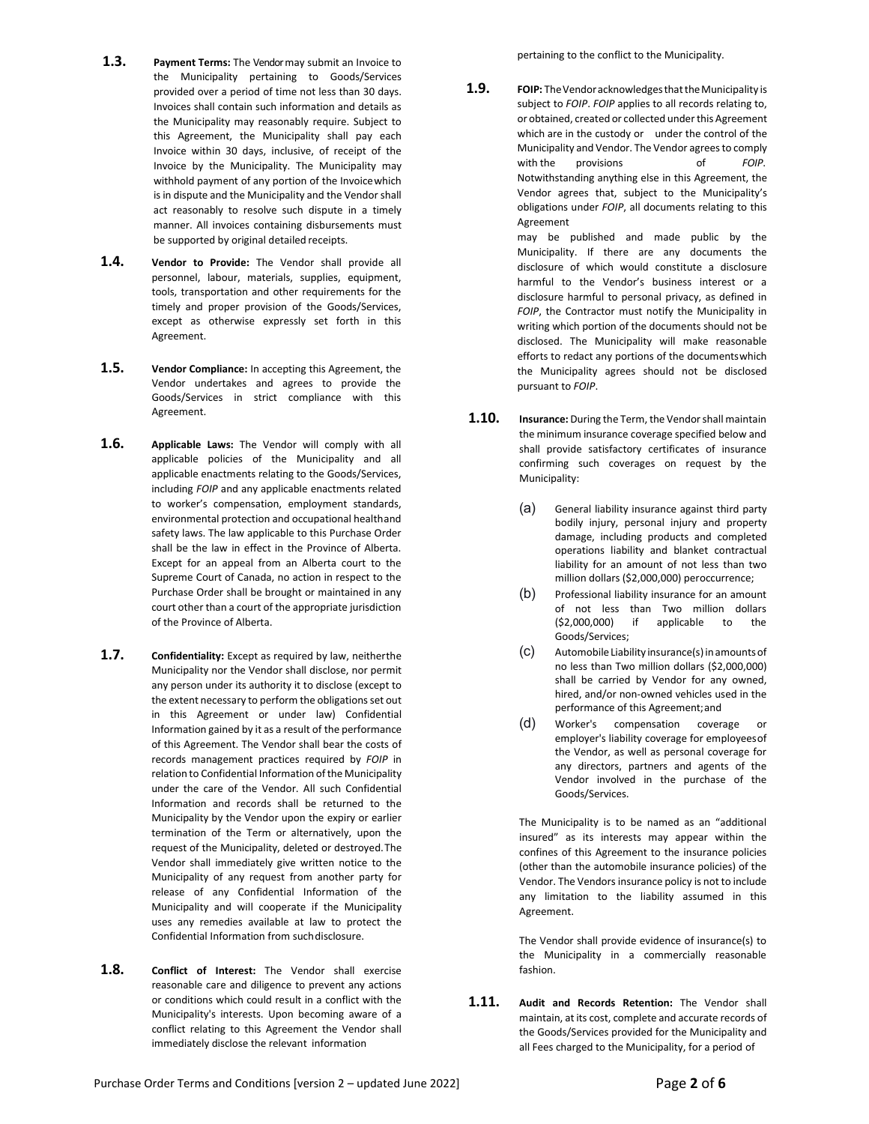- **1.3. Payment Terms:** The Vendor may submit an Invoice to the Municipality pertaining to Goods/Services provided over a period of time not less than 30 days. Invoices shall contain such information and details as the Municipality may reasonably require. Subject to this Agreement, the Municipality shall pay each Invoice within 30 days, inclusive, of receipt of the Invoice by the Municipality. The Municipality may withhold payment of any portion of the Invoicewhich is in dispute and the Municipality and the Vendor shall act reasonably to resolve such dispute in a timely manner. All invoices containing disbursements must be supported by original detailed receipts.
- **1.4. Vendor to Provide:** The Vendor shall provide all personnel, labour, materials, supplies, equipment, tools, transportation and other requirements for the timely and proper provision of the Goods/Services, except as otherwise expressly set forth in this Agreement.
- **1.5. Vendor Compliance:** In accepting this Agreement, the Vendor undertakes and agrees to provide the Goods/Services in strict compliance with this Agreement.
- **1.6. Applicable Laws:** The Vendor will comply with all applicable policies of the Municipality and all applicable enactments relating to the Goods/Services, including *FOIP* and any applicable enactments related to worker's compensation, employment standards, environmental protection and occupational healthand safety laws. The law applicable to this Purchase Order shall be the law in effect in the Province of Alberta. Except for an appeal from an Alberta court to the Supreme Court of Canada, no action in respect to the Purchase Order shall be brought or maintained in any court other than a court of the appropriate jurisdiction of the Province of Alberta.
- **1.7. Confidentiality:** Except as required by law, neitherthe Municipality nor the Vendor shall disclose, nor permit any person under its authority it to disclose (except to the extent necessary to perform the obligations set out in this Agreement or under law) Confidential Information gained by it as a result of the performance of this Agreement. The Vendor shall bear the costs of records management practices required by *FOIP* in relation to Confidential Information of the Municipality under the care of the Vendor. All such Confidential Information and records shall be returned to the Municipality by the Vendor upon the expiry or earlier termination of the Term or alternatively, upon the request of the Municipality, deleted or destroyed.The Vendor shall immediately give written notice to the Municipality of any request from another party for release of any Confidential Information of the Municipality and will cooperate if the Municipality uses any remedies available at law to protect the Confidential Information from suchdisclosure.
- **1.8. Conflict of Interest:** The Vendor shall exercise reasonable care and diligence to prevent any actions or conditions which could result in a conflict with the Municipality's interests. Upon becoming aware of a conflict relating to this Agreement the Vendor shall immediately disclose the relevant information

pertaining to the conflict to the Municipality.

**1.9. FOIP:** TheVendoracknowledgesthattheMunicipality is subject to *FOIP*. *FOIP* applies to all records relating to, or obtained, created or collected under this Agreement which are in the custody or under the control of the Municipality and Vendor. The Vendor agrees to comply with the provisions of FOIP. Notwithstanding anything else in this Agreement, the Vendor agrees that, subject to the Municipality's obligations under *FOIP*, all documents relating to this Agreement

may be published and made public by the Municipality. If there are any documents the disclosure of which would constitute a disclosure harmful to the Vendor's business interest or a disclosure harmful to personal privacy, as defined in *FOIP*, the Contractor must notify the Municipality in writing which portion of the documents should not be disclosed. The Municipality will make reasonable efforts to redact any portions of the documentswhich the Municipality agrees should not be disclosed pursuant to *FOIP*.

- **1.10. Insurance:** During the Term, the Vendor shall maintain the minimum insurance coverage specified below and shall provide satisfactory certificates of insurance confirming such coverages on request by the Municipality:
	- (a) General liability insurance against third party bodily injury, personal injury and property damage, including products and completed operations liability and blanket contractual liability for an amount of not less than two million dollars (\$2,000,000) peroccurrence;
	- (b) Professional liability insurance for an amount of not less than Two million dollars (\$2,000,000) if applicable to the Goods/Services;
	- (c) AutomobileLiability insurance(s)inamountsof no less than Two million dollars (\$2,000,000) shall be carried by Vendor for any owned, hired, and/or non-owned vehicles used in the performance of this Agreement;and
	- (d) Worker's compensation coverage or employer's liability coverage for employeesof the Vendor, as well as personal coverage for any directors, partners and agents of the Vendor involved in the purchase of the Goods/Services.

The Municipality is to be named as an "additional insured" as its interests may appear within the confines of this Agreement to the insurance policies (other than the automobile insurance policies) of the Vendor. The Vendors insurance policy is not to include any limitation to the liability assumed in this Agreement.

The Vendor shall provide evidence of insurance(s) to the Municipality in a commercially reasonable fashion.

**1.11. Audit and Records Retention:** The Vendor shall maintain, at its cost, complete and accurate records of the Goods/Services provided for the Municipality and all Fees charged to the Municipality, for a period of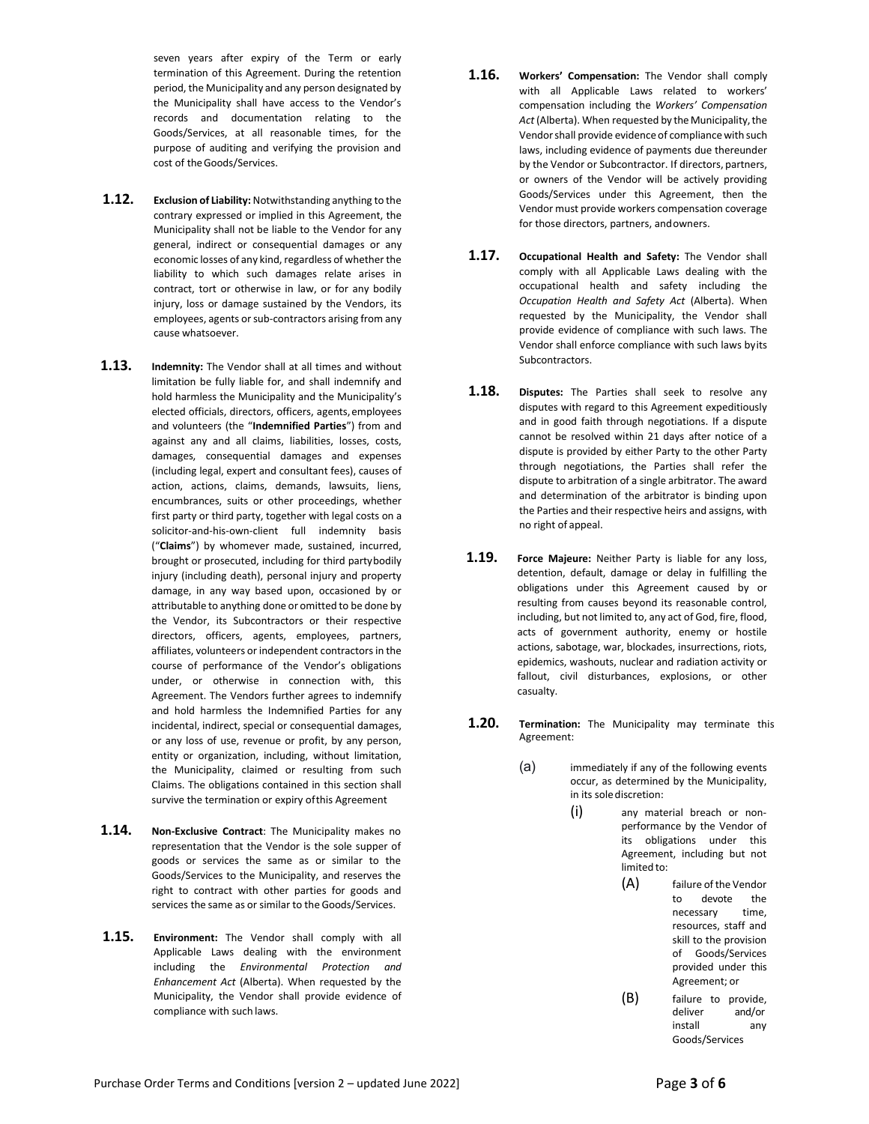seven years after expiry of the Term or early termination of this Agreement. During the retention period, the Municipality and any person designated by the Municipality shall have access to the Vendor's records and documentation relating to the Goods/Services, at all reasonable times, for the purpose of auditing and verifying the provision and cost of theGoods/Services.

- **1.12. Exclusion of Liability:** Notwithstanding anything to the contrary expressed or implied in this Agreement, the Municipality shall not be liable to the Vendor for any general, indirect or consequential damages or any economic losses of any kind, regardless of whether the liability to which such damages relate arises in contract, tort or otherwise in law, or for any bodily injury, loss or damage sustained by the Vendors, its employees, agents or sub-contractors arising from any cause whatsoever.
- **1.13. Indemnity:** The Vendor shall at all times and without limitation be fully liable for, and shall indemnify and hold harmless the Municipality and the Municipality's elected officials, directors, officers, agents,employees and volunteers (the "**Indemnified Parties**") from and against any and all claims, liabilities, losses, costs, damages, consequential damages and expenses (including legal, expert and consultant fees), causes of action, actions, claims, demands, lawsuits, liens, encumbrances, suits or other proceedings, whether first party or third party, together with legal costs on a solicitor-and-his-own-client full indemnity basis ("**Claims**") by whomever made, sustained, incurred, brought or prosecuted, including for third partybodily injury (including death), personal injury and property damage, in any way based upon, occasioned by or attributable to anything done or omitted to be done by the Vendor, its Subcontractors or their respective directors, officers, agents, employees, partners, affiliates, volunteers or independent contractors in the course of performance of the Vendor's obligations under, or otherwise in connection with, this Agreement. The Vendors further agrees to indemnify and hold harmless the Indemnified Parties for any incidental, indirect, special or consequential damages, or any loss of use, revenue or profit, by any person, entity or organization, including, without limitation, the Municipality, claimed or resulting from such Claims. The obligations contained in this section shall survive the termination or expiry ofthis Agreement
- **1.14. Non-Exclusive Contract**: The Municipality makes no representation that the Vendor is the sole supper of goods or services the same as or similar to the Goods/Services to the Municipality, and reserves the right to contract with other parties for goods and services the same as or similar to the Goods/Services.
- **1.15. Environment:** The Vendor shall comply with all Applicable Laws dealing with the environment including the *Environmental Protection and Enhancement Act* (Alberta). When requested by the Municipality, the Vendor shall provide evidence of compliance with such laws.
- **1.16. Workers' Compensation:** The Vendor shall comply with all Applicable Laws related to workers' compensation including the *Workers' Compensation*  Act (Alberta). When requested by the Municipality, the Vendor shall provide evidence of compliance with such laws, including evidence of payments due thereunder by the Vendor or Subcontractor. If directors, partners, or owners of the Vendor will be actively providing Goods/Services under this Agreement, then the Vendor must provide workers compensation coverage for those directors, partners, andowners.
- **1.17. Occupational Health and Safety:** The Vendor shall comply with all Applicable Laws dealing with the occupational health and safety including the *Occupation Health and Safety Act* (Alberta). When requested by the Municipality, the Vendor shall provide evidence of compliance with such laws. The Vendor shall enforce compliance with such laws byits Subcontractors.
- **1.18. Disputes:** The Parties shall seek to resolve any disputes with regard to this Agreement expeditiously and in good faith through negotiations. If a dispute cannot be resolved within 21 days after notice of a dispute is provided by either Party to the other Party through negotiations, the Parties shall refer the dispute to arbitration of a single arbitrator. The award and determination of the arbitrator is binding upon the Parties and their respective heirs and assigns, with no right of appeal.
- **1.19. Force Majeure:** Neither Party is liable for any loss, detention, default, damage or delay in fulfilling the obligations under this Agreement caused by or resulting from causes beyond its reasonable control, including, but not limited to, any act of God, fire, flood, acts of government authority, enemy or hostile actions, sabotage, war, blockades, insurrections, riots, epidemics, washouts, nuclear and radiation activity or fallout, civil disturbances, explosions, or other casualty.
- **1.20. Termination:** The Municipality may terminate this Agreement:
	- (a) immediately if any of the following events occur, as determined by the Municipality, in its solediscretion:
		- (i) any material breach or nonperformance by the Vendor of its obligations under this Agreement, including but not limited to:
			- (A) failure of the Vendor to devote the necessary time, resources, staff and skill to the provision of Goods/Services provided under this Agreement; or
			- (B) failure to provide,<br>deliver and/or and/or install any Goods/Services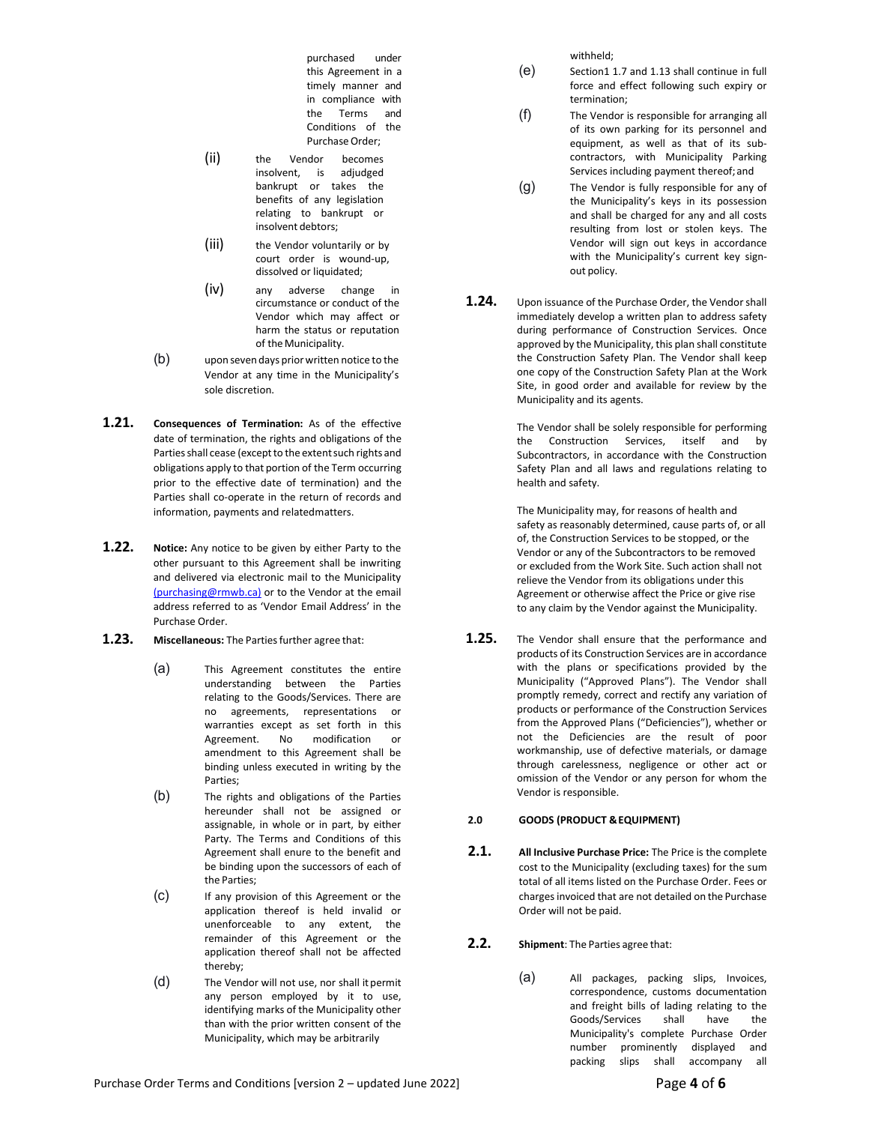purchased under this Agreement in a timely manner and in compliance with the Terms and Conditions of the Purchase Order:

- (ii) the Vendor becomes insolvent, is adjudged bankrupt or takes the benefits of any legislation relating to bankrupt or insolvent debtors;
- (iii) the Vendor voluntarily or by court order is wound-up, dissolved or liquidated;
- (iv) any adverse change in circumstance or conduct of the Vendor which may affect or harm the status or reputation of the Municipality.
- (b) upon seven days priorwritten notice to the Vendor at any time in the Municipality's sole discretion.
- **1.21. Consequences of Termination:** As of the effective date of termination, the rights and obligations of the Parties shall cease (except to the extent such rights and obligations apply to that portion of the Term occurring prior to the effective date of termination) and the Parties shall co-operate in the return of records and information, payments and relatedmatters.
- **1.22. Notice:** Any notice to be given by either Party to the other pursuant to this Agreement shall be inwriting and delivered via electronic mail to the Municipalit[y](mailto:%20(purchasing@rmwb.ca)) [\(purchasing@rmwb.ca\)](mailto:%20(purchasing@rmwb.ca)) or to the Vendor at the email address referred to as 'Vendor Email Address' in the Purchase Order.
- **1.23.** Miscellaneous: The Parties further agree that:
	- (a) This Agreement constitutes the entire understanding between the Parties relating to the Goods/Services. There are no agreements, representations or warranties except as set forth in this Agreement. No modification or amendment to this Agreement shall be binding unless executed in writing by the Parties;
	- (b) The rights and obligations of the Parties hereunder shall not be assigned or assignable, in whole or in part, by either Party. The Terms and Conditions of this Agreement shall enure to the benefit and be binding upon the successors of each of the Parties;
	- (c) If any provision of this Agreement or the application thereof is held invalid or unenforceable to any extent, the remainder of this Agreement or the application thereof shall not be affected thereby;
	- (d) The Vendor will not use, nor shall itpermit any person employed by it to use, identifying marks of the Municipality other than with the prior written consent of the Municipality, which may be arbitrarily

withheld;

- (e) Section1 1.7 and 1.13 shall continue in full force and effect following such expiry or termination;
- (f) The Vendor is responsible for arranging all of its own parking for its personnel and equipment, as well as that of its subcontractors, with Municipality Parking Services including payment thereof;and
- (g) The Vendor is fully responsible for any of the Municipality's keys in its possession and shall be charged for any and all costs resulting from lost or stolen keys. The Vendor will sign out keys in accordance with the Municipality's current key signout policy.
- **1.24.** Upon issuance of the Purchase Order, the Vendor shall immediately develop a written plan to address safety during performance of Construction Services. Once approved by the Municipality, this plan shall constitute the Construction Safety Plan. The Vendor shall keep one copy of the Construction Safety Plan at the Work Site, in good order and available for review by the Municipality and its agents.

The Vendor shall be solely responsible for performing the Construction Services, itself and by Subcontractors, in accordance with the Construction Safety Plan and all laws and regulations relating to health and safety.

The Municipality may, for reasons of health and safety as reasonably determined, cause parts of, or all of, the Construction Services to be stopped, or the Vendor or any of the Subcontractors to be removed or excluded from the Work Site. Such action shall not relieve the Vendor from its obligations under this Agreement or otherwise affect the Price or give rise to any claim by the Vendor against the Municipality.

**1.25.** The Vendor shall ensure that the performance and products of its Construction Services are in accordance with the plans or specifications provided by the Municipality ("Approved Plans"). The Vendor shall promptly remedy, correct and rectify any variation of products or performance of the Construction Services from the Approved Plans ("Deficiencies"), whether or not the Deficiencies are the result of poor workmanship, use of defective materials, or damage through carelessness, negligence or other act or omission of the Vendor or any person for whom the Vendor is responsible.

## **2.0 GOODS (PRODUCT &EQUIPMENT)**

**2.1. All Inclusive Purchase Price:** The Price is the complete cost to the Municipality (excluding taxes) for the sum total of all items listed on the Purchase Order. Fees or chargesinvoiced that are not detailed on the Purchase Order will not be paid.

**2.2. Shipment**: The Parties agree that:

(a) All packages, packing slips, Invoices, correspondence, customs documentation and freight bills of lading relating to the Goods/Services shall have the Municipality's complete Purchase Order number prominently displayed and packing slips shall accompany all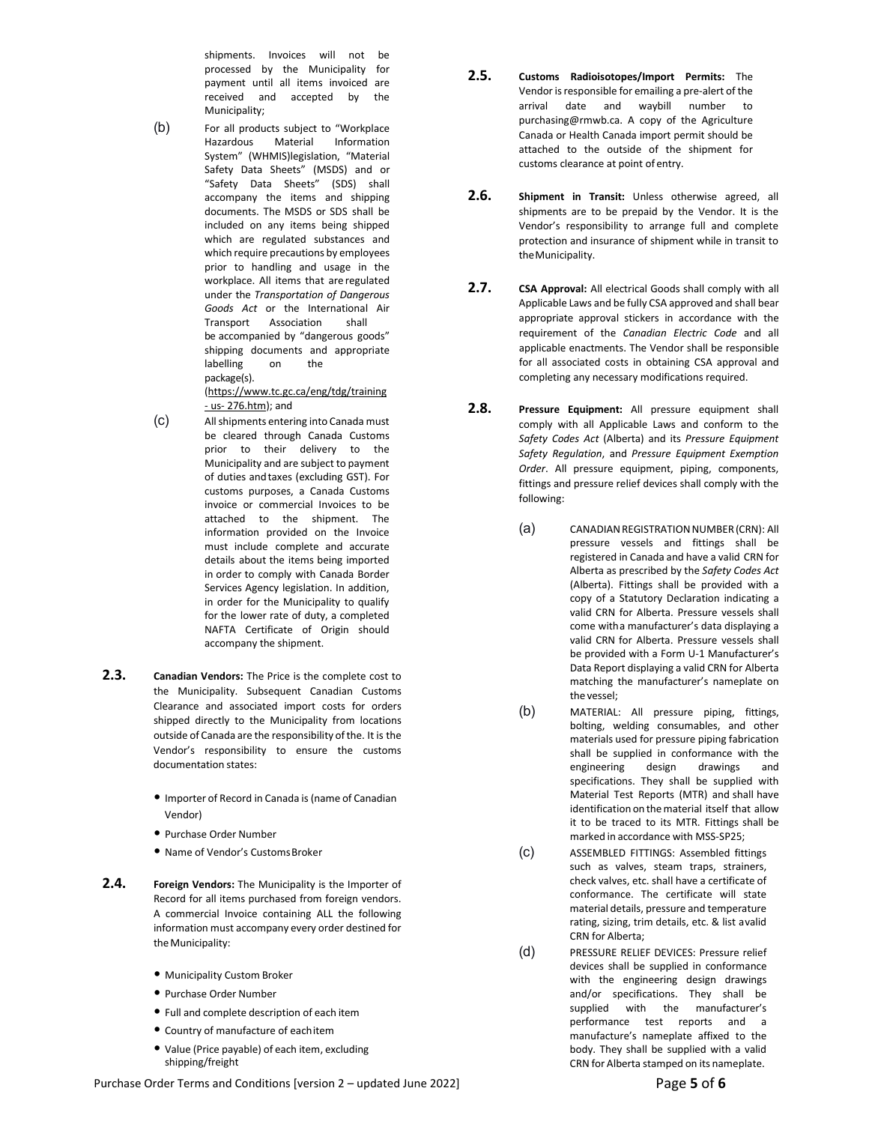shipments. Invoices will not be processed by the Municipality for payment until all items invoiced are received and accepted by the Municipality;

(b) For all products subject to "Workplace<br>Hazardous Material Information Information System" (WHMIS)legislation, "Material Safety Data Sheets" (MSDS) and or "Safety Data Sheets" (SDS) shall accompany the items and shipping documents. The MSDS or SDS shall be included on any items being shipped which are regulated substances and which require precautions by employees prior to handling and usage in the workplace. All items that are regulated under the *Transportation of Dangerous Goods Act* or the International Air Transport Association shall be accompanied by "dangerous goods" shipping documents and appropriate labelling on the package(s[\).](https://www.tc.gc.ca/eng/tdg/training-us-276.htm)

[\(https://www.tc.gc.ca/eng/tdg/training](https://www.tc.gc.ca/eng/tdg/training-us-276.htm) [-](https://www.tc.gc.ca/eng/tdg/training-us-276.htm) [us-](https://www.tc.gc.ca/eng/tdg/training-us-276.htm) [276.htm\)](https://www.tc.gc.ca/eng/tdg/training-us-276.htm); and

- (c) All shipments entering into Canada must be cleared through Canada Customs prior to their delivery to the Municipality and are subject to payment of duties andtaxes (excluding GST). For customs purposes, a Canada Customs invoice or commercial Invoices to be attached to the shipment. The information provided on the Invoice must include complete and accurate details about the items being imported in order to comply with Canada Border Services Agency legislation. In addition, in order for the Municipality to qualify for the lower rate of duty, a completed NAFTA Certificate of Origin should accompany the shipment.
- **2.3. Canadian Vendors:** The Price is the complete cost to the Municipality. Subsequent Canadian Customs Clearance and associated import costs for orders shipped directly to the Municipality from locations outside of Canada are the responsibility of the. It is the Vendor's responsibility to ensure the customs documentation states:
	- Importer of Record in Canada is(name of Canadian Vendor)
	- Purchase Order Number
	- Name of Vendor's CustomsBroker
- **2.4. Foreign Vendors:** The Municipality is the Importer of Record for all items purchased from foreign vendors. A commercial Invoice containing ALL the following information must accompany every order destined for the Municipality:
	- Municipality Custom Broker
	- Purchase Order Number
	- Full and complete description of each item
	- Country of manufacture of eachitem
	- Value (Price payable) of each item, excluding shipping/freight
- **2.5. Customs Radioisotopes/Import Permits:** The Vendor is responsible for emailing a pre-alert of the arrival date and waybill number to [purchasing@rmwb.ca. A](mailto:purchasing@rmwb.ca) copy of the Agriculture Canada or Health Canada import permit should be attached to the outside of the shipment for customs clearance at point of entry.
- **2.6. Shipment in Transit:** Unless otherwise agreed, all shipments are to be prepaid by the Vendor. It is the Vendor's responsibility to arrange full and complete protection and insurance of shipment while in transit to theMunicipality.
- **2.7. CSA Approval:** All electrical Goods shall comply with all Applicable Laws and be fully CSA approved and shall bear appropriate approval stickers in accordance with the requirement of the *Canadian Electric Code* and all applicable enactments. The Vendor shall be responsible for all associated costs in obtaining CSA approval and completing any necessary modifications required.
- **2.8. Pressure Equipment:** All pressure equipment shall comply with all Applicable Laws and conform to the *Safety Codes Act* (Alberta) and its *Pressure Equipment Safety Regulation*, and *Pressure Equipment Exemption Order*. All pressure equipment, piping, components, fittings and pressure relief devices shall comply with the following:
	- (a) CANADIAN REGISTRATION NUMBER (CRN): All pressure vessels and fittings shall be registered in Canada and have a valid CRN for Alberta as prescribed by the *Safety Codes Act*  (Alberta). Fittings shall be provided with a copy of a Statutory Declaration indicating a valid CRN for Alberta. Pressure vessels shall come witha manufacturer's data displaying a valid CRN for Alberta. Pressure vessels shall be provided with a Form U-1 Manufacturer's Data Report displaying a valid CRN for Alberta matching the manufacturer's nameplate on the vessel;
	- (b) MATERIAL: All pressure piping, fittings, bolting, welding consumables, and other materials used for pressure piping fabrication shall be supplied in conformance with the engineering design drawings and specifications. They shall be supplied with Material Test Reports (MTR) and shall have identification on the material itself that allow it to be traced to its MTR. Fittings shall be marked in accordance with MSS-SP25;
	- (c) ASSEMBLED FITTINGS: Assembled fittings such as valves, steam traps, strainers, check valves, etc. shall have a certificate of conformance. The certificate will state material details, pressure and temperature rating, sizing, trim details, etc. & list avalid CRN for Alberta;
	- (d) PRESSURE RELIEF DEVICES: Pressure relief devices shall be supplied in conformance with the engineering design drawings and/or specifications. They shall be supplied with the manufacturer's performance test reports and a manufacture's nameplate affixed to the body. They shall be supplied with a valid CRN for Alberta stamped on its nameplate.

Purchase Order Terms and Conditions [version 2 – updated June 2022] **Page 5 of 6**